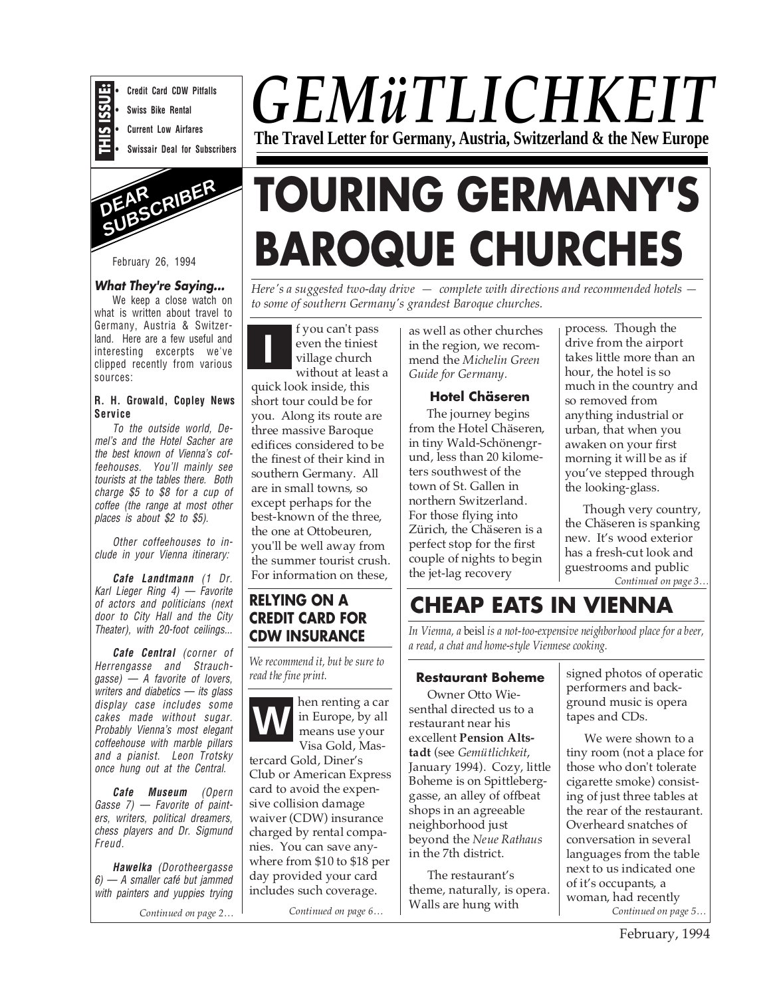

**• Credit Card CDW Pitfalls • Swiss Bike Rental**

- **Current Low Airfares**
- **Swissair Deal for Subscribers**



#### **What They're Saying...**

We keep a close watch on what is written about travel to Germany, Austria & Switzerland. Here are a few useful and interesting excerpts we've clipped recently from various sources:

#### **R. H. Growald, Copley News Service**

To the outside world, Demel's and the Hotel Sacher are the best known of Vienna's coffeehouses. You'll mainly see tourists at the tables there. Both charge \$5 to \$8 for a cup of coffee (the range at most other places is about \$2 to \$5).

Other coffeehouses to include in your Vienna itinerary:

**Cafe Landtmann** (1 Dr. Karl Lieger Ring 4) — Favorite of actors and politicians (next door to City Hall and the City Theater), with 20-foot ceilings...

**Cafe Central** (corner of Herrengasse and Strauchgasse) — A favorite of lovers, writers and diabetics  $-$  its glass display case includes some cakes made without sugar. Probably Vienna's most elegant coffeehouse with marble pillars and a pianist. Leon Trotsky once hung out at the Central.

**Cafe Museum** (Opern Gasse 7) — Favorite of painters, writers, political dreamers, chess players and Dr. Sigmund Freud.

**Hawelka** (Dorotheergasse 6) — A smaller café but jammed with painters and yuppies trying

## *GEMüTLICHKEIT* **The Travel Letter for Germany, Austria, Switzerland & the New Europe**

# **TOURING GERMANY'S BAROQUE CHURCHES**

*Here's a suggested two-day drive — complete with directions and recommended hotels to some of southern Germany's grandest Baroque churches.*

**I** f you can't pass<br>
even the tiniest<br>
village church<br>
ill even the tiniest village church without at least a

quick look inside, this short tour could be for you. Along its route are three massive Baroque edifices considered to be the finest of their kind in southern Germany. All are in small towns, so except perhaps for the best-known of the three, the one at Ottobeuren, you'll be well away from the summer tourist crush. For information on these,

#### **RELYING ON A CREDIT CARD FOR CDW INSURANCE**

*We recommend it, but be sure to read the fine print.*



Visa Gold, Mastercard Gold, Diner's Club or American Express card to avoid the expensive collision damage waiver (CDW) insurance charged by rental companies. You can save anywhere from \$10 to \$18 per day provided your card includes such coverage.

*Continued on page 6…*

as well as other churches in the region, we recommend the *Michelin Green Guide for Germany.*

#### **Hotel Chäseren**

The journey begins from the Hotel Chäseren, in tiny Wald-Schönengrund, less than 20 kilometers southwest of the town of St. Gallen in northern Switzerland. For those flying into Zürich, the Chäseren is a perfect stop for the first couple of nights to begin the jet-lag recovery

process. Though the drive from the airport takes little more than an hour, the hotel is so much in the country and so removed from anything industrial or urban, that when you awaken on your first morning it will be as if you've stepped through the looking-glass.

*Continued on page 3…* Though very country, the Chäseren is spanking new. It's wood exterior has a fresh-cut look and guestrooms and public

## **CHEAP EATS IN VIENNA**

*In Vienna, a* beisl *is a not-too-expensive neighborhood place for a beer, a read, a chat and home-style Viennese cooking.*

#### **Restaurant Boheme**

Owner Otto Wiesenthal directed us to a restaurant near his excellent **Pension Altstadt** (see *Gemütlichkeit*, January 1994). Cozy, little Boheme is on Spittleberggasse, an alley of offbeat shops in an agreeable neighborhood just beyond the *Neue Rathaus* in the 7th district.

The restaurant's theme, naturally, is opera. Walls are hung with

signed photos of operatic performers and background music is opera tapes and CDs.

*Continued on page 2… Continued on page 5…* We were shown to a tiny room (not a place for those who don't tolerate cigarette smoke) consisting of just three tables at the rear of the restaurant. Overheard snatches of conversation in several languages from the table next to us indicated one of it's occupants, a woman, had recently

February, 1994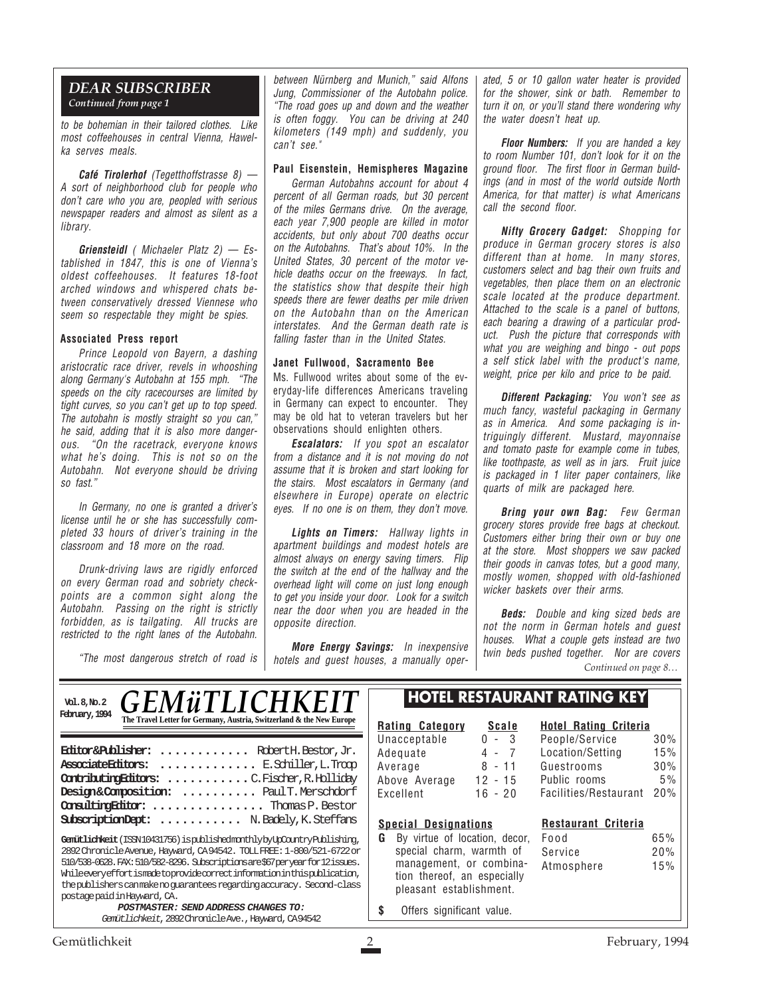#### *DEAR SUBSCRIBER Continued from page 1*

to be bohemian in their tailored clothes. Like most coffeehouses in central Vienna, Hawelka serves meals.

**Café Tirolerhof** (Tegetthoffstrasse 8) — A sort of neighborhood club for people who don't care who you are, peopled with serious newspaper readers and almost as silent as a library.

**Griensteidl** ( Michaeler Platz 2) — Established in 1847, this is one of Vienna's oldest coffeehouses. It features 18-foot arched windows and whispered chats between conservatively dressed Viennese who seem so respectable they might be spies.

#### **Associated Press report**

Prince Leopold von Bayern, a dashing aristocratic race driver, revels in whooshing along Germany's Autobahn at 155 mph. "The speeds on the city racecourses are limited by tight curves, so you can't get up to top speed. The autobahn is mostly straight so you can." he said, adding that it is also more dangerous. "On the racetrack, everyone knows what he's doing. This is not so on the Autobahn. Not everyone should be driving so fast."

In Germany, no one is granted a driver's license until he or she has successfully completed 33 hours of driver's training in the classroom and 18 more on the road.

Drunk-driving laws are rigidly enforced on every German road and sobriety checkpoints are a common sight along the Autobahn. Passing on the right is strictly forbidden, as is tailgating. All trucks are restricted to the right lanes of the Autobahn.

"The most dangerous stretch of road is

between Nürnberg and Munich," said Alfons Jung, Commissioner of the Autobahn police. "The road goes up and down and the weather is often foggy. You can be driving at 240 kilometers (149 mph) and suddenly, you can't see."

#### **Paul Eisenstein, Hemispheres Magazine**

German Autobahns account for about 4 percent of all German roads, but 30 percent of the miles Germans drive. On the average, each year 7,900 people are killed in motor accidents, but only about 700 deaths occur on the Autobahns. That's about 10%. In the United States, 30 percent of the motor vehicle deaths occur on the freeways. In fact, the statistics show that despite their high speeds there are fewer deaths per mile driven on the Autobahn than on the American interstates. And the German death rate is falling faster than in the United States.

#### **Janet Fullwood, Sacramento Bee**

Ms. Fullwood writes about some of the everyday-life differences Americans traveling in Germany can expect to encounter. They may be old hat to veteran travelers but her observations should enlighten others.

**Escalators:** If you spot an escalator from a distance and it is not moving do not assume that it is broken and start looking for the stairs. Most escalators in Germany (and elsewhere in Europe) operate on electric eyes. If no one is on them, they don't move.

**Lights on Timers:** Hallway lights in apartment buildings and modest hotels are almost always on energy saving timers. Flip the switch at the end of the hallway and the overhead light will come on just long enough to get you inside your door. Look for a switch near the door when you are headed in the opposite direction.

**More Energy Savings:** In inexpensive hotels and guest houses, a manually oper-

ated, 5 or 10 gallon water heater is provided for the shower, sink or bath. Remember to turn it on, or you'll stand there wondering why the water doesn't heat up.

**Floor Numbers:** If you are handed a key to room Number 101, don't look for it on the ground floor. The first floor in German buildings (and in most of the world outside North America, for that matter) is what Americans call the second floor.

**Nifty Grocery Gadget:** Shopping for produce in German grocery stores is also different than at home. In many stores, customers select and bag their own fruits and vegetables, then place them on an electronic scale located at the produce department. Attached to the scale is a panel of buttons, each bearing a drawing of a particular product. Push the picture that corresponds with what you are weighing and bingo - out pops a self stick label with the product's name, weight, price per kilo and price to be paid.

**Different Packaging:** You won't see as much fancy, wasteful packaging in Germany as in America. And some packaging is intriguingly different. Mustard, mayonnaise and tomato paste for example come in tubes, like toothpaste, as well as in jars. Fruit juice is packaged in 1 liter paper containers, like quarts of milk are packaged here.

**Bring your own Bag:** Few German grocery stores provide free bags at checkout. Customers either bring their own or buy one at the store. Most shoppers we saw packed their goods in canvas totes, but a good many, mostly women, shopped with old-fashioned wicker baskets over their arms.

**Beds:** Double and king sized beds are not the norm in German hotels and guest houses. What a couple gets instead are two twin beds pushed together. Nor are covers

*Continued on page 8…*

<sup>Vol. 8, No. 2</sup> *GEMÜTLICHKEIT* 

| Vol.8, N <sub>0</sub> .2<br>February, 1994 | <i><b>GEMÜTLICHKEIT</b></i><br>The Travel Letter for Germany, Austria, Switzerland & the New Europe |  |
|--------------------------------------------|-----------------------------------------------------------------------------------------------------|--|
|                                            | <b>Editor&amp;Publisher:</b> Robert H. Bestor, Jr.                                                  |  |
|                                            | Associate Editors:  E. Schiller, L. Troop<br>Contributing Rittors: C. Fischer, R. Holliday          |  |
|                                            | Design&Composition:  Paul T. Merschdorf<br>Consulting Rittor:  Thomas P. Bestor                     |  |
|                                            | SubscriptionDept:  N. Badely, K. Steffans                                                           |  |
|                                            | Gemütlichkeit (ISSN10431756) ispublishedmonthlybyUpCountryPublishing,                               |  |

2892 Chronicle Avenue, Hayward, CA 94542. TOLL FREE: 1-800/521-6722 or 510/538-0628. FAX: 510/582-8296. Subscriptions are \$67 per year for 12 issues. While every effort is made to provide correct information in this publication, the publishers can make no guarantees regarding accuracy. Second-class postage paid in Hayward, CA.

**POSTMASTER: SEND ADDRESS CHANGES TO:** Gemütlichkeit, 2892 Chronicle Ave., Hayward, CA 94542

#### **HOTEL RESTAURANT RATING KEY**

| Rating Category | <b>Scale</b> |  |
|-----------------|--------------|--|
| Unacceptable    | 3<br>ი -     |  |
| Adequate        | 4 - 7        |  |
| Average         | 8 - 11       |  |
| Above Average   | $12 - 15$    |  |
| Excellent       | $16 - 20$    |  |

| cale                            | <b>Hotel Rating Criteria</b> |     |
|---------------------------------|------------------------------|-----|
| $\overline{a}$<br>$\mathcal{B}$ | People/Service               | 30% |
| - 7                             | Location/Setting             | 15% |
| - 11                            | Guestrooms                   | 30% |
| - 15                            | Public rooms                 | 5%  |
| - 20                            | Facilities/Restaurant        | 20% |

#### **Special Designations**

**G** By virtue of location, deco special charm, warmth of management, or combina tion thereof, an especiall pleasant establishment.

|          | <b>Restaurant Criteria</b> |     |
|----------|----------------------------|-----|
| or.      | Food                       | 65% |
| f        | Service                    | 20% |
| a-<br>ΙV | Atmosphere                 | 15% |

**\$** Offers significant value.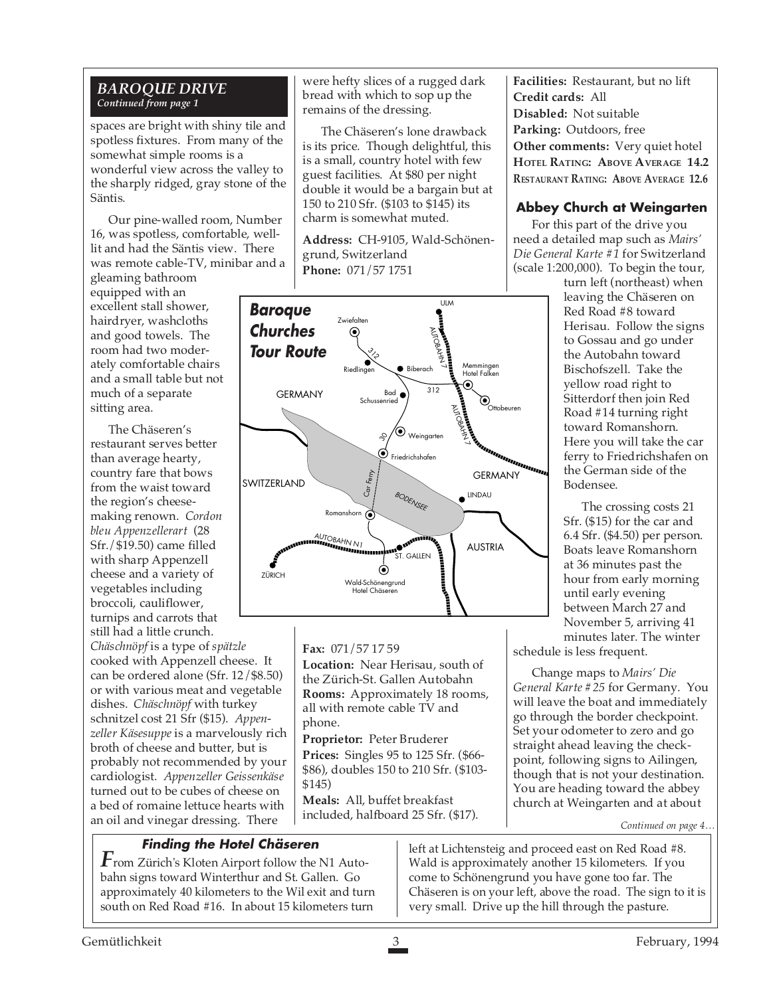#### *BAROQUE DRIVE Continued from page 1*

spaces are bright with shiny tile and spotless fixtures. From many of the somewhat simple rooms is a wonderful view across the valley to the sharply ridged, gray stone of the Säntis.

Our pine-walled room, Number 16, was spotless, comfortable, welllit and had the Säntis view. There was remote cable-TV, minibar and a

gleaming bathroom equipped with an excellent stall shower, hairdryer, washcloths and good towels. The room had two moderately comfortable chairs and a small table but not much of a separate sitting area.

The Chäseren's restaurant serves better than average hearty, country fare that bows from the waist toward the region's cheesemaking renown. *Cordon bleu Appenzellerart* (28 Sfr./\$19.50) came filled with sharp Appenzell cheese and a variety of vegetables including broccoli, cauliflower, turnips and carrots that still had a little crunch. *Chäschnöpf* is a type of *spätzle* cooked with Appenzell cheese. It can be ordered alone (Sfr. 12/\$8.50) or with various meat and vegetable dishes. *Chäschnöpf* with turkey schnitzel cost 21 Sfr (\$15). *Appenzeller Käsesuppe* is a marvelously rich broth of cheese and butter, but is

probably not recommended by your cardiologist. *Appenzeller Geissenkäse* turned out to be cubes of cheese on a bed of romaine lettuce hearts with an oil and vinegar dressing. There

**Finding the Hotel Chäseren**

 $\boldsymbol{F}$ rom Zürich's Kloten Airport follow the N1 Autobahn signs toward Winterthur and St. Gallen. Go approximately 40 kilometers to the Wil exit and turn south on Red Road #16. In about 15 kilometers turn

were hefty slices of a rugged dark bread with which to sop up the remains of the dressing.

The Chäseren's lone drawback is its price. Though delightful, this is a small, country hotel with few guest facilities. At \$80 per night double it would be a bargain but at 150 to 210 Sfr. (\$103 to \$145) its charm is somewhat muted.

**Address:** CH-9105, Wald-Schönengrund, Switzerland **Phone:** 071/57 1751



**Fax:** 071/57 17 59

**Location:** Near Herisau, south of the Zürich-St. Gallen Autobahn **Rooms:** Approximately 18 rooms, all with remote cable TV and phone.

**Proprietor:** Peter Bruderer **Prices:** Singles 95 to 125 Sfr. (\$66- \$86), doubles 150 to 210 Sfr. (\$103- \$145)

**Meals:** All, buffet breakfast included, halfboard 25 Sfr. (\$17). **Facilities:** Restaurant, but no lift **Credit cards:** All **Disabled:** Not suitable **Parking:** Outdoors, free **Other comments:** Very quiet hotel **HOTEL RATING: ABOVE AVERAGE 14.2 RESTAURANT RATING: ABOVE AVERAGE 12.6**

#### **Abbey Church at Weingarten**

For this part of the drive you need a detailed map such as *Mairs' Die General Karte #1* for Switzerland (scale 1:200,000). To begin the tour,

turn left (northeast) when leaving the Chäseren on Red Road #8 toward Herisau. Follow the signs to Gossau and go under the Autobahn toward Bischofszell. Take the yellow road right to Sitterdorf then join Red Road #14 turning right toward Romanshorn. Here you will take the car ferry to Friedrichshafen on the German side of the Bodensee.

The crossing costs 21 Sfr. (\$15) for the car and 6.4 Sfr. (\$4.50) per person. Boats leave Romanshorn at 36 minutes past the hour from early morning until early evening between March 27 and November 5, arriving 41 minutes later. The winter

schedule is less frequent.

Change maps to *Mairs' Die General Karte #25* for Germany. You will leave the boat and immediately go through the border checkpoint. Set your odometer to zero and go straight ahead leaving the checkpoint, following signs to Ailingen, though that is not your destination. You are heading toward the abbey church at Weingarten and at about

*Continued on page 4…*

left at Lichtensteig and proceed east on Red Road #8. Wald is approximately another 15 kilometers. If you come to Schönengrund you have gone too far. The Chäseren is on your left, above the road. The sign to it is very small. Drive up the hill through the pasture.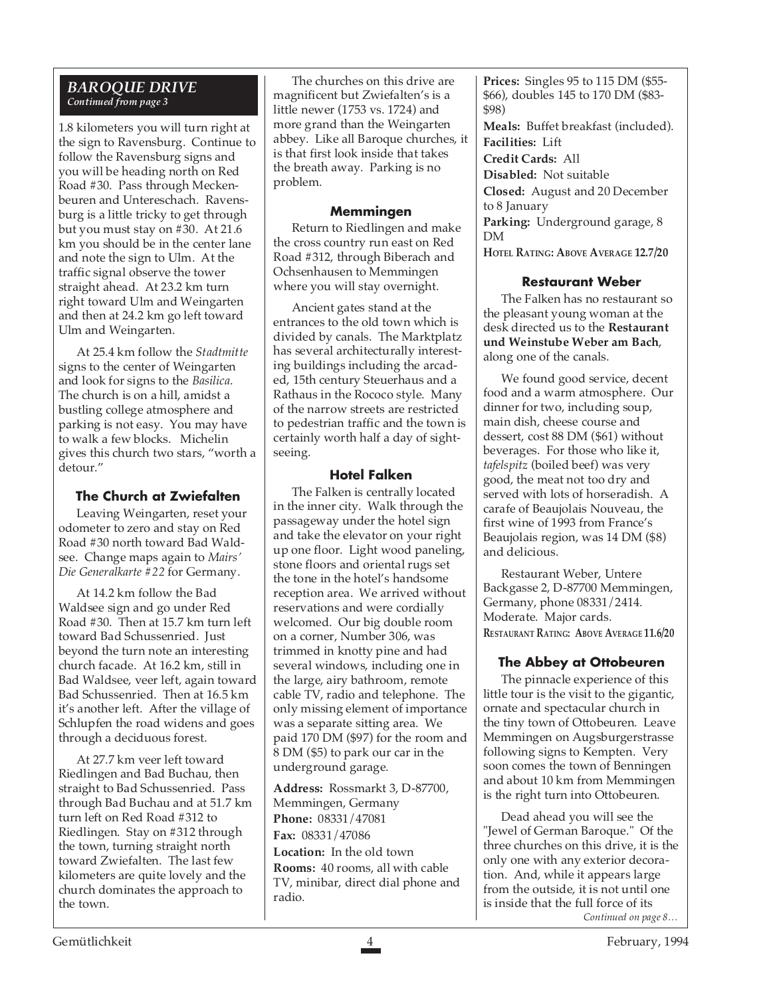#### *BAROQUE DRIVE Continued from page 3*

1.8 kilometers you will turn right at the sign to Ravensburg. Continue to follow the Ravensburg signs and you will be heading north on Red Road #30. Pass through Meckenbeuren and Untereschach. Ravensburg is a little tricky to get through but you must stay on #30. At 21.6 km you should be in the center lane and note the sign to Ulm. At the traffic signal observe the tower straight ahead. At 23.2 km turn right toward Ulm and Weingarten and then at 24.2 km go left toward Ulm and Weingarten.

At 25.4 km follow the *Stadtmitte* signs to the center of Weingarten and look for signs to the *Basilica*. The church is on a hill, amidst a bustling college atmosphere and parking is not easy. You may have to walk a few blocks. Michelin gives this church two stars, "worth a detour."

#### **The Church at Zwiefalten**

Leaving Weingarten, reset your odometer to zero and stay on Red Road #30 north toward Bad Waldsee. Change maps again to *Mairs' Die Generalkarte #22* for Germany.

At 14.2 km follow the Bad Waldsee sign and go under Red Road #30. Then at 15.7 km turn left toward Bad Schussenried. Just beyond the turn note an interesting church facade. At 16.2 km, still in Bad Waldsee, veer left, again toward Bad Schussenried. Then at 16.5 km it's another left. After the village of Schlupfen the road widens and goes through a deciduous forest.

At 27.7 km veer left toward Riedlingen and Bad Buchau, then straight to Bad Schussenried. Pass through Bad Buchau and at 51.7 km turn left on Red Road #312 to Riedlingen. Stay on #312 through the town, turning straight north toward Zwiefalten. The last few kilometers are quite lovely and the church dominates the approach to the town.

The churches on this drive are magnificent but Zwiefalten's is a little newer (1753 vs. 1724) and more grand than the Weingarten abbey. Like all Baroque churches, it is that first look inside that takes the breath away. Parking is no problem.

#### **Memmingen**

Return to Riedlingen and make the cross country run east on Red Road #312, through Biberach and Ochsenhausen to Memmingen where you will stay overnight.

Ancient gates stand at the entrances to the old town which is divided by canals. The Marktplatz has several architecturally interesting buildings including the arcaded, 15th century Steuerhaus and a Rathaus in the Rococo style. Many of the narrow streets are restricted to pedestrian traffic and the town is certainly worth half a day of sightseeing.

#### **Hotel Falken**

The Falken is centrally located in the inner city. Walk through the passageway under the hotel sign and take the elevator on your right up one floor. Light wood paneling, stone floors and oriental rugs set the tone in the hotel's handsome reception area. We arrived without reservations and were cordially welcomed. Our big double room on a corner, Number 306, was trimmed in knotty pine and had several windows, including one in the large, airy bathroom, remote cable TV, radio and telephone. The only missing element of importance was a separate sitting area. We paid 170 DM (\$97) for the room and 8 DM (\$5) to park our car in the underground garage.

**Address:** Rossmarkt 3, D-87700, Memmingen, Germany **Phone:** 08331/47081 **Fax:** 08331/47086 **Location:** In the old town **Rooms:** 40 rooms, all with cable TV, minibar, direct dial phone and radio.

**Prices:** Singles 95 to 115 DM (\$55- \$66), doubles 145 to 170 DM (\$83- \$98)

**Meals:** Buffet breakfast (included). **Facilities:** Lift

**Credit Cards:** All

**Disabled:** Not suitable

**Closed:** August and 20 December to 8 January

**Parking:** Underground garage, 8 DM

**HOTEL RATING: ABOVE AVERAGE 12.7/20**

#### **Restaurant Weber**

The Falken has no restaurant so the pleasant young woman at the desk directed us to the **Restaurant und Weinstube Weber am Bach**, along one of the canals.

We found good service, decent food and a warm atmosphere. Our dinner for two, including soup, main dish, cheese course and dessert, cost 88 DM (\$61) without beverages. For those who like it, *tafelspitz* (boiled beef) was very good, the meat not too dry and served with lots of horseradish. A carafe of Beaujolais Nouveau, the first wine of 1993 from France's Beaujolais region, was 14 DM (\$8) and delicious.

Restaurant Weber, Untere Backgasse 2, D-87700 Memmingen, Germany, phone 08331/2414. Moderate. Major cards. **RESTAURANT RATING: ABOVE AVERAGE 11.6/20**

#### **The Abbey at Ottobeuren**

The pinnacle experience of this little tour is the visit to the gigantic, ornate and spectacular church in the tiny town of Ottobeuren. Leave Memmingen on Augsburgerstrasse following signs to Kempten. Very soon comes the town of Benningen and about 10 km from Memmingen is the right turn into Ottobeuren.

Dead ahead you will see the "Jewel of German Baroque." Of the three churches on this drive, it is the only one with any exterior decoration. And, while it appears large from the outside, it is not until one is inside that the full force of its *Continued on page 8…*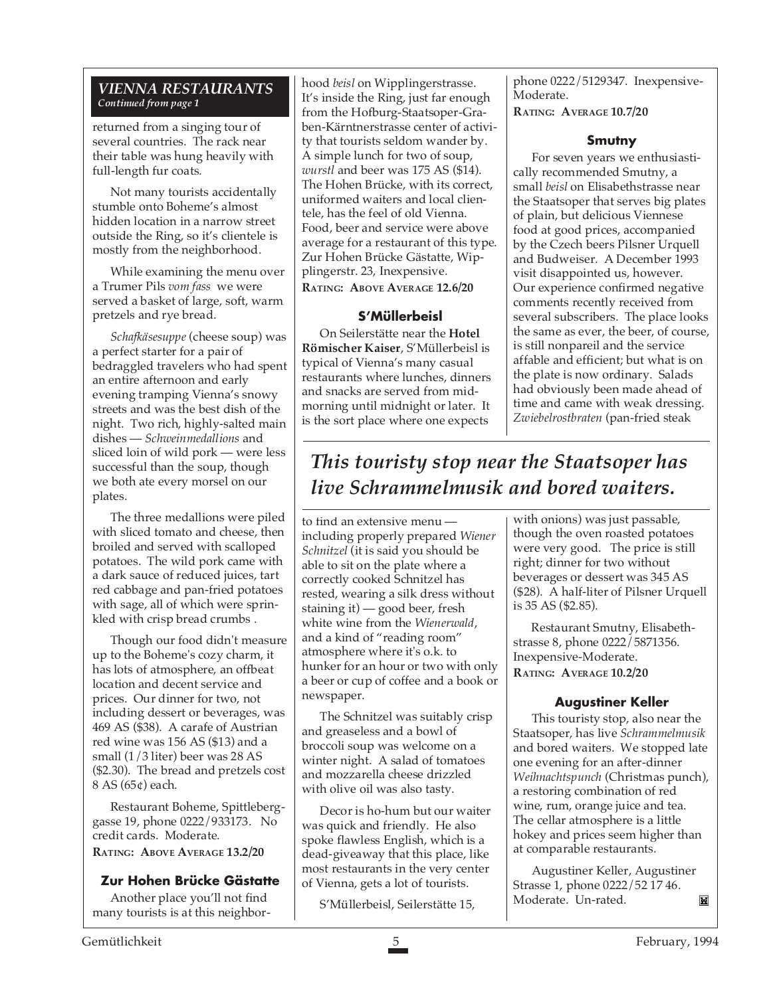#### *VIENNA RESTAURANTS Continued from page 1*

returned from a singing tour of several countries. The rack near their table was hung heavily with full-length fur coats.

Not many tourists accidentally stumble onto Boheme's almost hidden location in a narrow street outside the Ring, so it's clientele is mostly from the neighborhood.

While examining the menu over a Trumer Pils *vom fass* we were served a basket of large, soft, warm pretzels and rye bread.

*Schafkäsesuppe* (cheese soup) was a perfect starter for a pair of bedraggled travelers who had spent an entire afternoon and early evening tramping Vienna's snowy streets and was the best dish of the night. Two rich, highly-salted main dishes — *Schweinmedallions* and sliced loin of wild pork — were less successful than the soup, though we both ate every morsel on our plates.

The three medallions were piled with sliced tomato and cheese, then broiled and served with scalloped potatoes. The wild pork came with a dark sauce of reduced juices, tart red cabbage and pan-fried potatoes with sage, all of which were sprinkled with crisp bread crumbs .

Though our food didn't measure up to the Boheme's cozy charm, it has lots of atmosphere, an offbeat location and decent service and prices. Our dinner for two, not including dessert or beverages, was 469 AS (\$38). A carafe of Austrian red wine was 156 AS (\$13) and a small (1/3 liter) beer was 28 AS (\$2.30). The bread and pretzels cost 8 AS (65¢) each.

Restaurant Boheme, Spittleberggasse 19, phone 0222/933173. No credit cards. Moderate. **RATING: ABOVE AVERAGE 13.2/20**

#### **Zur Hohen Brücke Gästatte**

Another place you'll not find many tourists is at this neighborhood *beisl* on Wipplingerstrasse. It's inside the Ring, just far enough from the Hofburg-Staatsoper-Graben-Kärntnerstrasse center of activity that tourists seldom wander by. A simple lunch for two of soup, *wurstl* and beer was 175 AS (\$14). The Hohen Brücke, with its correct, uniformed waiters and local clientele, has the feel of old Vienna. Food, beer and service were above average for a restaurant of this type. Zur Hohen Brücke Gästatte, Wipplingerstr. 23, Inexpensive. **RATING: ABOVE AVERAGE 12.6/20**

#### **S'Müllerbeisl**

On Seilerstätte near the **Hotel Römischer Kaiser**, S'Müllerbeisl is typical of Vienna's many casual restaurants where lunches, dinners and snacks are served from midmorning until midnight or later. It is the sort place where one expects

phone 0222/5129347. Inexpensive-Moderate. **RATING: AVERAGE 10.7/20**

#### **Smutny**

For seven years we enthusiastically recommended Smutny, a small *beisl* on Elisabethstrasse near the Staatsoper that serves big plates of plain, but delicious Viennese food at good prices, accompanied by the Czech beers Pilsner Urquell and Budweiser. A December 1993 visit disappointed us, however. Our experience confirmed negative comments recently received from several subscribers. The place looks the same as ever, the beer, of course, is still nonpareil and the service affable and efficient; but what is on the plate is now ordinary. Salads had obviously been made ahead of time and came with weak dressing. *Zwiebelrostbraten* (pan-fried steak

## *This touristy stop near the Staatsoper has live Schrammelmusik and bored waiters.*

to find an extensive menu including properly prepared *Wiener Schnitzel* (it is said you should be able to sit on the plate where a correctly cooked Schnitzel has rested, wearing a silk dress without staining it) — good beer, fresh white wine from the *Wienerwald*, and a kind of "reading room" atmosphere where it's o.k. to hunker for an hour or two with only a beer or cup of coffee and a book or newspaper.

The Schnitzel was suitably crisp and greaseless and a bowl of broccoli soup was welcome on a winter night. A salad of tomatoes and mozzarella cheese drizzled with olive oil was also tasty.

Decor is ho-hum but our waiter was quick and friendly. He also spoke flawless English, which is a dead-giveaway that this place, like most restaurants in the very center of Vienna, gets a lot of tourists.

S'Müllerbeisl, Seilerstätte 15,

with onions) was just passable, though the oven roasted potatoes were very good. The price is still right; dinner for two without beverages or dessert was 345 AS (\$28). A half-liter of Pilsner Urquell is 35 AS (\$2.85).

Restaurant Smutny, Elisabethstrasse 8, phone 0222/5871356. Inexpensive-Moderate. **RATING: AVERAGE 10.2/20**

#### **Augustiner Keller**

This touristy stop, also near the Staatsoper, has live *Schrammelmusik* and bored waiters. We stopped late one evening for an after-dinner *Weihnachtspunch* (Christmas punch), a restoring combination of red wine, rum, orange juice and tea. The cellar atmosphere is a little hokey and prices seem higher than at comparable restaurants.

Augustiner Keller, Augustiner Strasse 1, phone 0222/52 17 46. Moderate. Un-rated. Ĭ×ĭ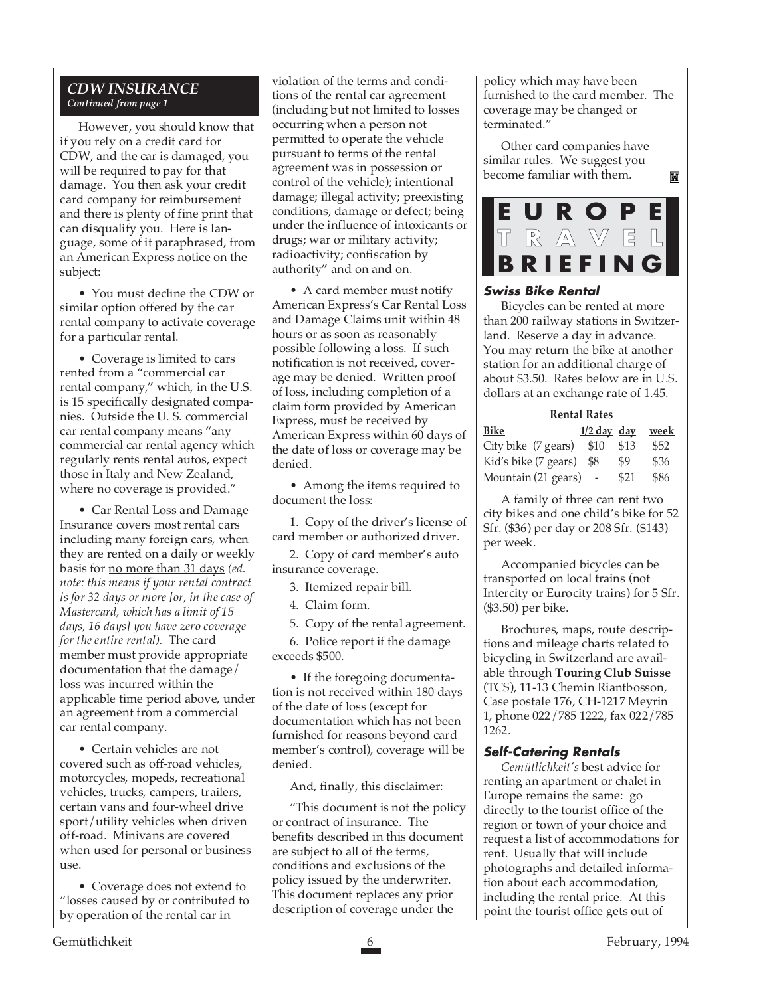#### *CDW INSURANCE Continued from page 1*

However, you should know that if you rely on a credit card for CDW, and the car is damaged, you will be required to pay for that damage. You then ask your credit card company for reimbursement and there is plenty of fine print that can disqualify you. Here is language, some of it paraphrased, from an American Express notice on the subject:

• You must decline the CDW or similar option offered by the car rental company to activate coverage for a particular rental.

• Coverage is limited to cars rented from a "commercial car rental company," which, in the U.S. is 15 specifically designated companies. Outside the U. S. commercial car rental company means "any commercial car rental agency which regularly rents rental autos, expect those in Italy and New Zealand, where no coverage is provided."

• Car Rental Loss and Damage Insurance covers most rental cars including many foreign cars, when they are rented on a daily or weekly basis for no more than 31 days *(ed. note: this means if your rental contract is for 32 days or more [or, in the case of Mastercard, which has a limit of 15 days, 16 days] you have zero coverage for the entire rental).* The card member must provide appropriate documentation that the damage/ loss was incurred within the applicable time period above, under an agreement from a commercial car rental company.

• Certain vehicles are not covered such as off-road vehicles, motorcycles, mopeds, recreational vehicles, trucks, campers, trailers, certain vans and four-wheel drive sport/utility vehicles when driven off-road. Minivans are covered when used for personal or business use.

• Coverage does not extend to "losses caused by or contributed to by operation of the rental car in

violation of the terms and conditions of the rental car agreement (including but not limited to losses occurring when a person not permitted to operate the vehicle pursuant to terms of the rental agreement was in possession or control of the vehicle); intentional damage; illegal activity; preexisting conditions, damage or defect; being under the influence of intoxicants or drugs; war or military activity; radioactivity; confiscation by authority" and on and on.

• A card member must notify American Express's Car Rental Loss and Damage Claims unit within 48 hours or as soon as reasonably possible following a loss. If such notification is not received, coverage may be denied. Written proof of loss, including completion of a claim form provided by American Express, must be received by American Express within 60 days of the date of loss or coverage may be denied.

• Among the items required to document the loss:

1. Copy of the driver's license of card member or authorized driver.

2. Copy of card member's auto insurance coverage.

3. Itemized repair bill.

4. Claim form.

5. Copy of the rental agreement.

6. Police report if the damage exceeds \$500.

• If the foregoing documentation is not received within 180 days of the date of loss (except for documentation which has not been furnished for reasons beyond card member's control), coverage will be denied.

And, finally, this disclaimer:

"This document is not the policy or contract of insurance. The benefits described in this document are subject to all of the terms, conditions and exclusions of the policy issued by the underwriter. This document replaces any prior description of coverage under the

policy which may have been furnished to the card member. The coverage may be changed or terminated."

Other card companies have similar rules. We suggest you become familiar with them.



ĬМ

#### **Swiss Bike Rental**

Bicycles can be rented at more than 200 railway stations in Switzerland. Reserve a day in advance. You may return the bike at another station for an additional charge of about \$3.50. Rates below are in U.S. dollars at an exchange rate of 1.45.

#### **Rental Rates**

| Bike                     |      | $1/2$ day day week |
|--------------------------|------|--------------------|
| City bike (7 gears) \$10 | \$13 | \$52               |
| Kid's bike (7 gears) \$8 | \$9  | \$36               |
| Mountain (21 gears)      | \$21 | \$86               |

A family of three can rent two city bikes and one child's bike for 52 Sfr. (\$36) per day or 208 Sfr. (\$143) per week.

Accompanied bicycles can be transported on local trains (not Intercity or Eurocity trains) for 5 Sfr. (\$3.50) per bike.

Brochures, maps, route descriptions and mileage charts related to bicycling in Switzerland are available through **Touring Club Suisse** (TCS), 11-13 Chemin Riantbosson, Case postale 176, CH-1217 Meyrin 1, phone 022/785 1222, fax 022/785 1262.

#### **Self-Catering Rentals**

*Gemütlichkeit's* best advice for renting an apartment or chalet in Europe remains the same: go directly to the tourist office of the region or town of your choice and request a list of accommodations for rent. Usually that will include photographs and detailed information about each accommodation, including the rental price. At this point the tourist office gets out of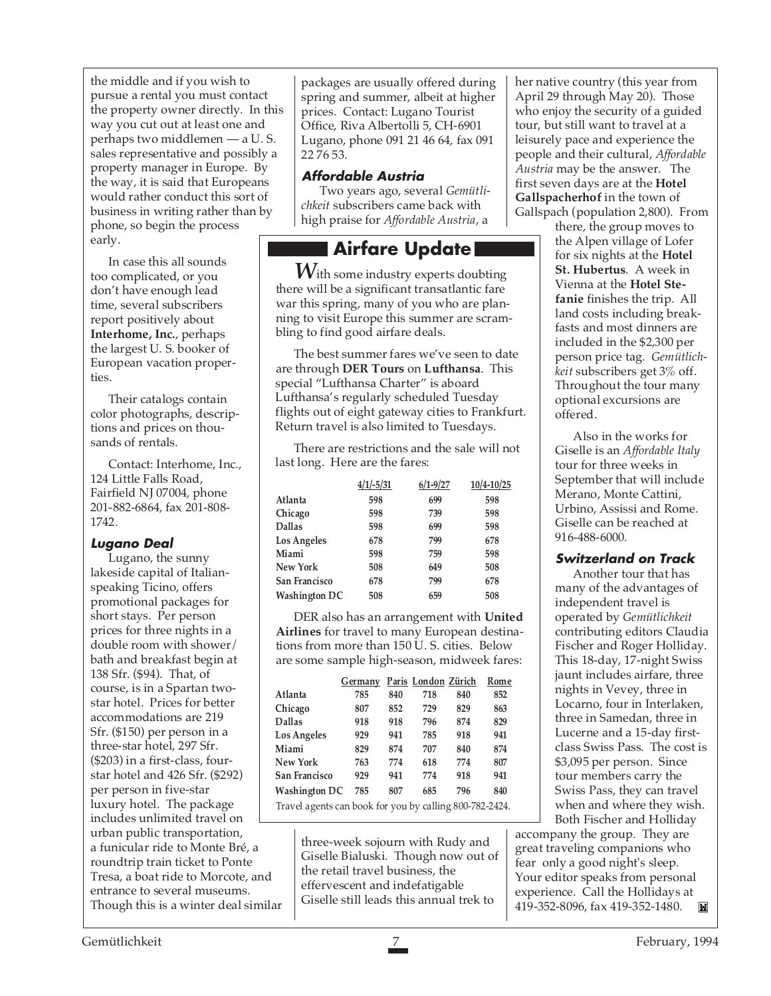the middle and if you wish to pursue a rental you must contact the property owner directly. In this way you cut out at least one and perhaps two middlemen — a U. S. sales representative and possibly a property manager in Europe. By the way, it is said that Europeans would rather conduct this sort of business in writing rather than by phone, so begin the process early.

In case this all sounds too complicated, or you don't have enough lead time, several subscribers report positively about **Interhome, Inc.**, perhaps the largest U. S. booker of European vacation properties.

Their catalogs contain color photographs, descriptions and prices on thousands of rentals.

Contact: Interhome, Inc., 124 Little Falls Road, Fairfield NJ 07004, phone 201-882-6864, fax 201-808- 1742.

#### **Lugano Deal**

Lugano, the sunny lakeside capital of Italianspeaking Ticino, offers promotional packages for short stays. Per person prices for three nights in a double room with shower/ bath and breakfast begin at 138 Sfr. (\$94). That, of course, is in a Spartan twostar hotel. Prices for better accommodations are 219 Sfr. (\$150) per person in a three-star hotel, 297 Sfr. (\$203) in a first-class, fourstar hotel and 426 Sfr. (\$292) per person in five-star luxury hotel. The package includes unlimited travel on urban public transportation, a funicular ride to Monte Bré, a roundtrip train ticket to Ponte Tresa, a boat ride to Morcote, and entrance to several museums. Though this is a winter deal similar

packages are usually offered during spring and summer, albeit at higher prices. Contact: Lugano Tourist Office, Riva Albertolli 5, CH-6901 Lugano, phone 091 21 46 64, fax 091 22 76 53.

#### **Affordable Austria**

Two years ago, several *Gemütlichkeit* subscribers came back with high praise for *Affordable Austria*, a

### **Airfare Update**

*W*ith some industry experts doubting there will be a significant transatlantic fare war this spring, many of you who are planning to visit Europe this summer are scrambling to find good airfare deals.

The best summer fares we've seen to date are through **DER Tours** on **Lufthansa**. This special "Lufthansa Charter" is aboard Lufthansa's regularly scheduled Tuesday flights out of eight gateway cities to Frankfurt. Return travel is also limited to Tuesdays.

There are restrictions and the sale will not last long. Here are the fares:

|                      | $4/1/-5/31$ | $6/1 - 9/27$ | $10/4 - 10/25$ |
|----------------------|-------------|--------------|----------------|
| Atlanta              | 598         | 699          | 598            |
| Chicago              | 598         | 739          | 598            |
| <b>Dallas</b>        | 598         | 699          | 598            |
| <b>Los Angeles</b>   | 678         | 799          | 678            |
| Miami                | 598         | 759          | 598            |
| New York             | 508         | 649          | 508            |
| San Francisco        | 678         | 799          | 678            |
| <b>Washington DC</b> | 508         | 659          | 508            |

DER also has an arrangement with **United Airlines** for travel to many European destinations from more than 150 U. S. cities. Below are some sample high-season, midweek fares:

|                                                         | Germany |     | Paris London Zürich |     | Rome |
|---------------------------------------------------------|---------|-----|---------------------|-----|------|
| Atlanta                                                 | 785     | 840 | 718                 | 840 | 852  |
| Chicago                                                 | 807     | 852 | 729                 | 829 | 863  |
| <b>Dallas</b>                                           | 918     | 918 | 796                 | 874 | 829  |
| <b>Los Angeles</b>                                      | 929     | 941 | 785                 | 918 | 941  |
| Miami                                                   | 829     | 874 | 707                 | 840 | 874  |
| New York                                                | 763     | 774 | 618                 | 774 | 807  |
| San Francisco                                           | 929     | 941 | 774                 | 918 | 941  |
| <b>Washington DC</b>                                    | 785     | 807 | 685                 | 796 | 840  |
| Travel agents can book for you by calling 800-782-2424. |         |     |                     |     |      |

three-week sojourn with Rudy and Giselle Bialuski. Though now out of the retail travel business, the effervescent and indefatigable Giselle still leads this annual trek to

her native country (this year from April 29 through May 20). Those who enjoy the security of a guided tour, but still want to travel at a leisurely pace and experience the people and their cultural, *Affordable Austria* may be the answer. The first seven days are at the **Hotel Gallspacherhof** in the town of Gallspach (population 2,800). From

there, the group moves to the Alpen village of Lofer for six nights at the **Hotel St. Hubertus**. A week in Vienna at the **Hotel Stefanie** finishes the trip. All land costs including breakfasts and most dinners are included in the \$2,300 per person price tag. *Gemütlichkeit* subscribers get 3% off. Throughout the tour many optional excursions are offered.

Also in the works for Giselle is an *Affordable Italy* tour for three weeks in September that will include Merano, Monte Cattini, Urbino, Assissi and Rome. Giselle can be reached at 916-488-6000.

#### **Switzerland on Track**

Another tour that has many of the advantages of independent travel is operated by *Gemütlichkeit* contributing editors Claudia Fischer and Roger Holliday. This 18-day, 17-night Swiss jaunt includes airfare, three nights in Vevey, three in Locarno, four in Interlaken, three in Samedan, three in Lucerne and a 15-day firstclass Swiss Pass. The cost is \$3,095 per person. Since tour members carry the Swiss Pass, they can travel when and where they wish. Both Fischer and Holliday

accompany the group. They are great traveling companions who fear only a good night's sleep. Your editor speaks from personal experience. Call the Hollidays at 419-352-8096, fax 419-352-1480.ÏД